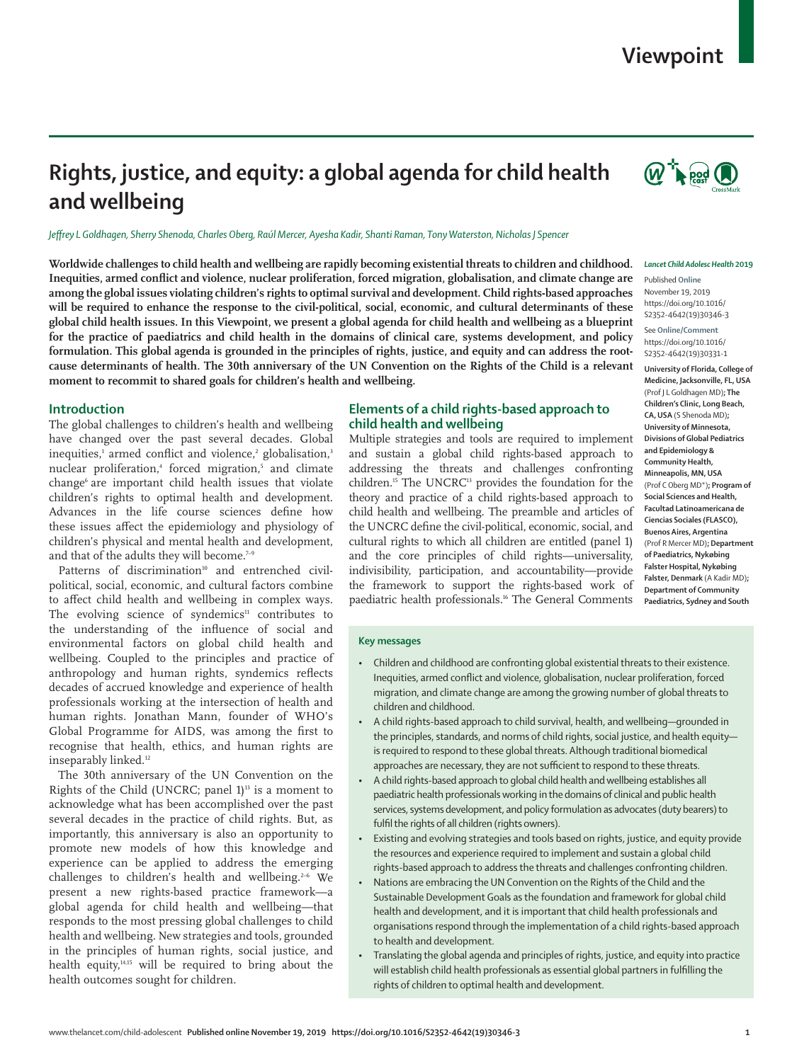# **Viewpoint**

# **Rights, justice, and equity: a global agenda for child health and wellbeing**

*Jeffrey L Goldhagen, Sherry Shenoda, Charles Oberg, Raúl Mercer, Ayesha Kadir, Shanti Raman, Tony Waterston, Nicholas J Spencer*

**Worldwide challenges to child health and wellbeing are rapidly becoming existential threats to children and childhood. Inequities, armed conflict and violence, nuclear proliferation, forced migration, globalisation, and climate change are among the global issues violating children's rights to optimal survival and development. Child rights-based approaches will be required to enhance the response to the civil-political, social, economic, and cultural determinants of these global child health issues. In this Viewpoint, we present a global agenda for child health and wellbeing as a blueprint for the practice of paediatrics and child health in the domains of clinical care, systems development, and policy formulation. This global agenda is grounded in the principles of rights, justice, and equity and can address the rootcause determinants of health. The 30th anniversary of the UN Convention on the Rights of the Child is a relevant moment to recommit to shared goals for children's health and wellbeing.**

# **Introduction**

The global challenges to children's health and wellbeing have changed over the past several decades. Global inequities, $^{\scriptscriptstyle 1}$  armed conflict and violence, $^{\scriptscriptstyle 2}$  globalisation, $^{\scriptscriptstyle 3}$ nuclear proliferation,<sup>4</sup> forced migration,<sup>5</sup> and climate change<sup>6</sup> are important child health issues that violate children's rights to optimal health and development. Advances in the life course sciences define how these issues affect the epidemiology and physiology of children's physical and mental health and development, and that of the adults they will become.<sup>7-9</sup>

Patterns of discrimination<sup>10</sup> and entrenched civilpolitical, social, economic, and cultural factors combine to affect child health and wellbeing in complex ways. The evolving science of syndemics<sup>11</sup> contributes to the understanding of the influence of social and environmental factors on global child health and wellbeing. Coupled to the principles and practice of anthropology and human rights, syndemics reflects decades of accrued knowledge and experience of health professionals working at the intersection of health and human rights. Jonathan Mann, founder of WHO's Global Programme for AIDS, was among the first to recognise that health, ethics, and human rights are inseparably linked.<sup>12</sup>

The 30th anniversary of the UN Convention on the Rights of the Child (UNCRC; panel  $1$ )<sup>13</sup> is a moment to acknowledge what has been accomplished over the past several decades in the practice of child rights. But, as importantly, this anniversary is also an opportunity to promote new models of how this knowledge and experience can be applied to address the emerging challenges to children's health and wellbeing.<sup>2-6</sup> We present a new rights-based practice framework—a global agenda for child health and wellbeing—that responds to the most pressing global challenges to child health and wellbeing. New strategies and tools, grounded in the principles of human rights, social justice, and health equity,14,15 will be required to bring about the health outcomes sought for children.

# **Elements of a child rights-based approach to child health and wellbeing**

Multiple strategies and tools are required to implement and sustain a global child rights-based approach to addressing the threats and challenges confronting children.15 The UNCRC13 provides the foundation for the theory and practice of a child rights-based approach to child health and wellbeing. The preamble and articles of the UNCRC define the civil-political, economic, social, and cultural rights to which all children are entitled (panel 1) and the core principles of child rights—universality, indivisibility, participation, and accountability—provide the framework to support the rights-based work of paediatric health professionals.<sup>16</sup> The General Comments

#### *Lancet Child Adolesc Health* **2019**

Published **Online** November 19, 2019 https://doi.org/10.1016/ S2352-4642(19)30346-3

See **Online/Comment** https://doi.org/10.1016/ S2352-4642(19)30331-1

**University of Florida, College of Medicine, Jacksonville, FL, USA** (Prof J L Goldhagen MD)**; The Children's Clinic, Long Beach, CA, USA** (S Shenoda MD)**; University of Minnesota, Divisions of Global Pediatrics and Epidemiology & Community Health, Minneapolis, MN, USA**  (Prof C Oberg MD\*)**; Program of Social Sciences and Health, Facultad Latinoamericana de Ciencias Sociales (FLASCO), Buenos Aires, Argentina**  (Prof R Mercer MD)**; Department of Paediatrics, Nykøbing Falster Hospital, Nykøbing Falster, Denmark** (A Kadir MD)**; Department of Community Paediatrics, Sydney and South**

# **Key messages**

- Children and childhood are confronting global existential threats to their existence. Inequities, armed conflict and violence, globalisation, nuclear proliferation, forced migration, and climate change are among the growing number of global threats to children and childhood.
- A child rights-based approach to child survival, health, and wellbeing—grounded in the principles, standards, and norms of child rights, social justice, and health equity is required to respond to these global threats. Although traditional biomedical approaches are necessary, they are not sufficient to respond to these threats.
- A child rights-based approach to global child health and wellbeing establishes all paediatric health professionals working in the domains of clinical and public health services, systems development, and policy formulation as advocates (duty bearers) to fulfil the rights of all children (rights owners).
- Existing and evolving strategies and tools based on rights, justice, and equity provide the resources and experience required to implement and sustain a global child rights-based approach to address the threats and challenges confronting children.
- Nations are embracing the UN Convention on the Rights of the Child and the Sustainable Development Goals as the foundation and framework for global child health and development, and it is important that child health professionals and organisations respond through the implementation of a child rights-based approach to health and development.
- Translating the global agenda and principles of rights, justice, and equity into practice will establish child health professionals as essential global partners in fulfilling the rights of children to optimal health and development.

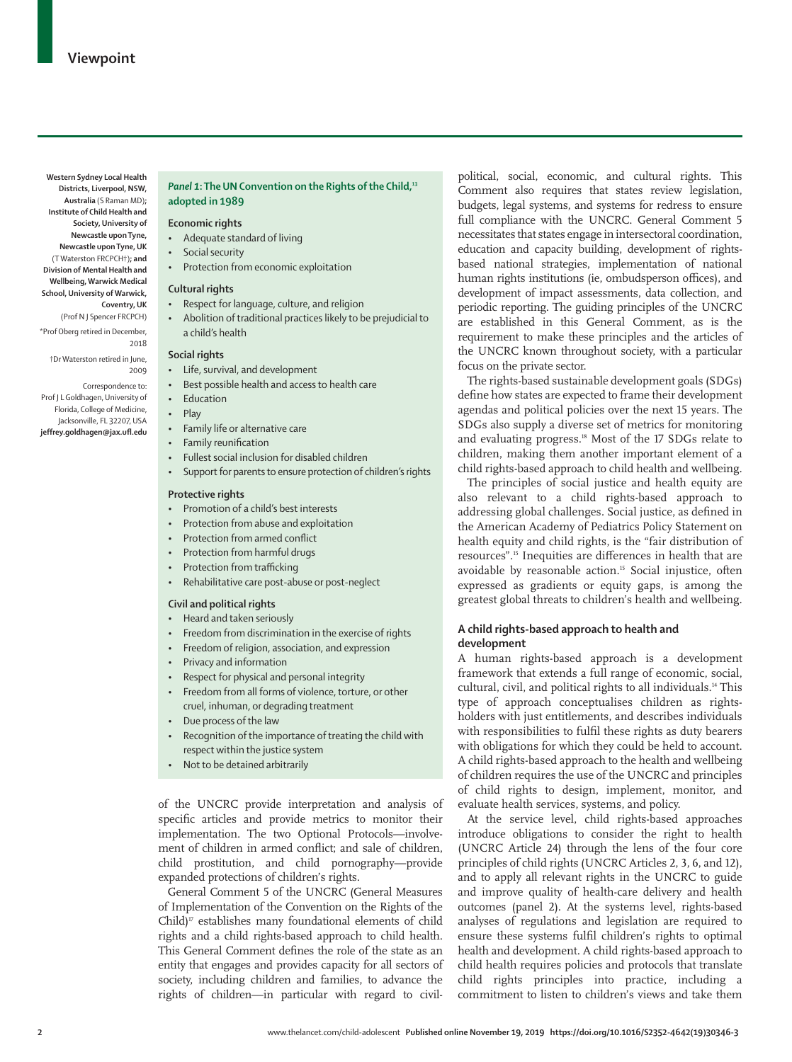**Western Sydney Local Health Districts, Liverpool, NSW, Australia** (S Raman MD)**; Institute of Child Health and Society, University of Newcastle upon Tyne, Newcastle upon Tyne, UK**  (T Waterston FRCPCH†)**; and Division of Mental Health and Wellbeing, Warwick Medical School, University of Warwick, Coventry, UK** (Prof N J Spencer FRCPCH)

\*Prof Oberg retired in December, 2018

†Dr Waterston retired in June, 2009

Prof LL Goldhagen, University of Florida, College of Medicine, Jacksonville, FL 32207, USA **jeffrey.goldhagen@jax.ufl.edu**

Correspondence to:

• Education

**Social rights**

- Play
- Family life or alternative care
	- Family reunification
	- Fullest social inclusion for disabled children
	- Support for parents to ensure protection of children's rights

Panel 1: The UN Convention on the Rights of the Child,<sup>13</sup>

#### **Protective rights**

**adopted in 1989 Economic rights**

Social security

a child's health

**Cultural rights**

• Adequate standard of living

• Life, survival, and development

• Protection from economic exploitation

• Respect for language, culture, and religion

• Best possible health and access to health care

• Abolition of traditional practices likely to be prejudicial to

- Promotion of a child's best interests
- Protection from abuse and exploitation
- Protection from armed conflict
- Protection from harmful drugs
- Protection from trafficking
- Rehabilitative care post-abuse or post-neglect

#### **Civil and political rights**

- Heard and taken seriously
- Freedom from discrimination in the exercise of rights
- Freedom of religion, association, and expression
- Privacy and information
- Respect for physical and personal integrity
- Freedom from all forms of violence, torture, or other cruel, inhuman, or degrading treatment
- Due process of the law
- Recognition of the importance of treating the child with respect within the justice system
- Not to be detained arbitrarily

of the UNCRC provide interpretation and analysis of specific articles and provide metrics to monitor their implementation. The two Optional Protocols—involvement of children in armed conflict; and sale of children, child prostitution, and child pornography—provide expanded protections of children's rights.

General Comment 5 of the UNCRC (General Measures of Implementation of the Convention on the Rights of the Child)<sup>17</sup> establishes many foundational elements of child rights and a child rights-based approach to child health. This General Comment defines the role of the state as an entity that engages and provides capacity for all sectors of society, including children and families, to advance the rights of children—in particular with regard to civil-

political, social, economic, and cultural rights. This Comment also requires that states review legislation, budgets, legal systems, and systems for redress to ensure full compliance with the UNCRC. General Comment 5 necessitates that states engage in intersectoral coordination, education and capacity building, development of rightsbased national strategies, implementation of national human rights institutions (ie, ombudsperson offices), and development of impact assessments, data collection, and periodic reporting. The guiding principles of the UNCRC are established in this General Comment, as is the requirement to make these principles and the articles of the UNCRC known throughout society, with a particular focus on the private sector.

The rights-based sustainable development goals (SDGs) define how states are expected to frame their development agendas and political policies over the next 15 years. The SDGs also supply a diverse set of metrics for monitoring and evaluating progress.18 Most of the 17 SDGs relate to children, making them another important element of a child rights-based approach to child health and wellbeing.

The principles of social justice and health equity are also relevant to a child rights-based approach to addressing global challenges*.* Social justice, as defined in the American Academy of Pediatrics Policy Statement on health equity and child rights, is the "fair distribution of resources".15 Inequities are differences in health that are avoidable by reasonable action.15 Social injustice, often expressed as gradients or equity gaps, is among the greatest global threats to children's health and wellbeing.

# **A child rights-based approach to health and development**

A human rights-based approach is a development framework that extends a full range of economic, social, cultural, civil, and political rights to all individuals.14 This type of approach conceptualises children as rightsholders with just entitlements, and describes individuals with responsibilities to fulfil these rights as duty bearers with obligations for which they could be held to account. A child rights-based approach to the health and wellbeing of children requires the use of the UNCRC and principles of child rights to design, implement, monitor, and evaluate health services, systems, and policy.

At the service level, child rights-based approaches introduce obligations to consider the right to health (UNCRC Article 24) through the lens of the four core principles of child rights (UNCRC Articles 2, 3, 6, and 12), and to apply all relevant rights in the UNCRC to guide and improve quality of health-care delivery and health outcomes (panel 2). At the systems level, rights-based analyses of regulations and legislation are required to ensure these systems fulfil children's rights to optimal health and development. A child rights-based approach to child health requires policies and protocols that translate child rights principles into practice, including a commitment to listen to children's views and take them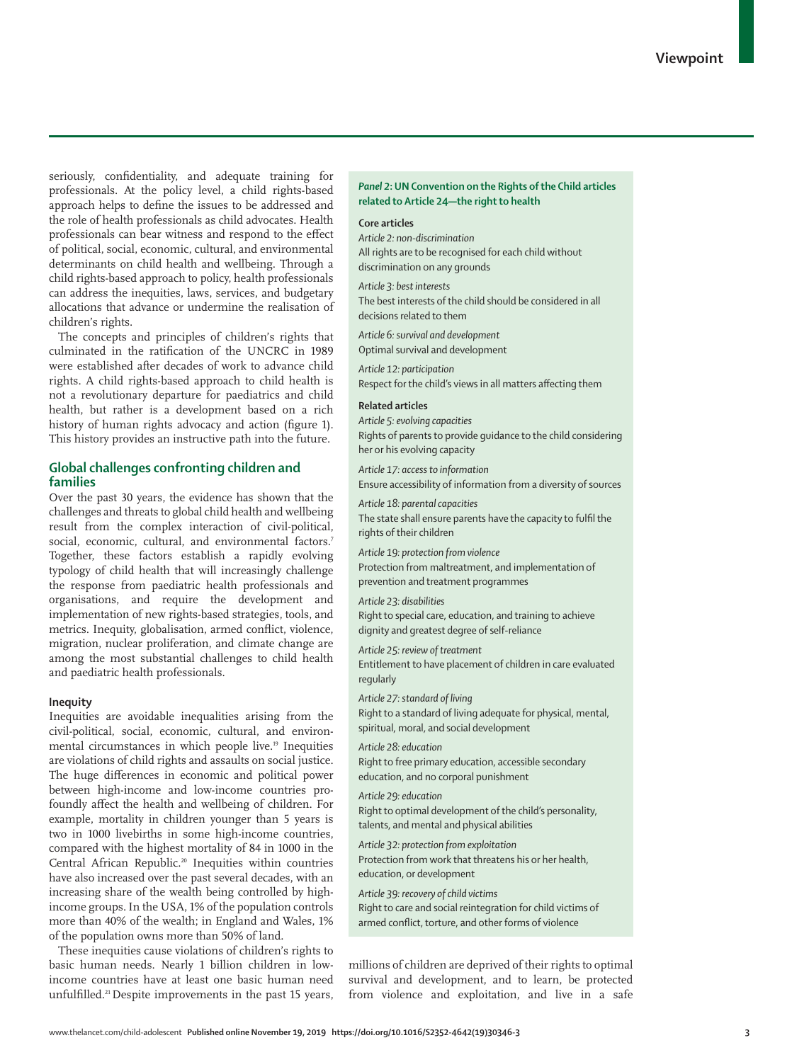seriously, confidentiality, and adequate training for professionals. At the policy level, a child rights-based approach helps to define the issues to be addressed and the role of health professionals as child advocates. Health professionals can bear witness and respond to the effect of political, social, economic, cultural, and environmental determinants on child health and wellbeing. Through a child rights-based approach to policy, health professionals can address the inequities, laws, services, and budgetary allocations that advance or undermine the realisation of children's rights.

The concepts and principles of children's rights that culminated in the ratification of the UNCRC in 1989 were established after decades of work to advance child rights. A child rights-based approach to child health is not a revolutionary departure for paediatrics and child health, but rather is a development based on a rich history of human rights advocacy and action (figure 1). This history provides an instructive path into the future.

# **Global challenges confronting children and families**

Over the past 30 years, the evidence has shown that the challenges and threats to global child health and wellbeing result from the complex interaction of civil-political, social, economic, cultural, and environmental factors.<sup>7</sup> Together, these factors establish a rapidly evolving typology of child health that will increasingly challenge the response from paediatric health professionals and organisations, and require the development and implementation of new rights-based strategies, tools, and metrics. Inequity, globalisation, armed conflict, violence, migration, nuclear proliferation, and climate change are among the most substantial challenges to child health and paediatric health professionals.

#### **Inequity**

Inequities are avoidable inequalities arising from the civil-political, social, economic, cultural, and environmental circumstances in which people live.<sup>19</sup> Inequities are violations of child rights and assaults on social justice. The huge differences in economic and political power between high-income and low-income countries profoundly affect the health and wellbeing of children. For example, mortality in children younger than 5 years is two in 1000 livebirths in some high-income countries, compared with the highest mortality of 84 in 1000 in the Central African Republic.20 Inequities within countries have also increased over the past several decades, with an increasing share of the wealth being controlled by highincome groups. In the USA, 1% of the population controls more than 40% of the wealth; in England and Wales, 1% of the population owns more than 50% of land.

These inequities cause violations of children's rights to basic human needs. Nearly 1 billion children in lowincome countries have at least one basic human need unfulfilled.<sup>21</sup> Despite improvements in the past 15 years,

#### *Panel 2***: UN Convention on the Rights of the Child articles related to Article 24—the right to health**

### **Core articles**

*Article 2: non-discrimination* All rights are to be recognised for each child without discrimination on any grounds

*Article 3: best interests*

The best interests of the child should be considered in all decisions related to them

*Article 6: survival and development* Optimal survival and development

*Article 12: participation* Respect for the child's views in all matters affecting them

#### **Related articles**

*Article 5: evolving capacities* Rights of parents to provide guidance to the child considering her or his evolving capacity

*Article 17: access to information* Ensure accessibility of information from a diversity of sources

*Article 18: parental capacities* The state shall ensure parents have the capacity to fulfil the rights of their children

*Article 19: protection from violence* Protection from maltreatment, and implementation of prevention and treatment programmes

*Article 23: disabilities*

Right to special care, education, and training to achieve dignity and greatest degree of self-reliance

*Article 25: review of treatment* Entitlement to have placement of children in care evaluated regularly

*Article 27: standard of living* Right to a standard of living adequate for physical, mental, spiritual, moral, and social development

*Article 28: education* Right to free primary education, accessible secondary education, and no corporal punishment

*Article 29: education*

Right to optimal development of the child's personality, talents, and mental and physical abilities

*Article 32: protection from exploitation* Protection from work that threatens his or her health, education, or development

*Article 39: recovery of child victims* Right to care and social reintegration for child victims of armed conflict, torture, and other forms of violence

millions of children are deprived of their rights to optimal survival and development, and to learn, be protected from violence and exploitation, and live in a safe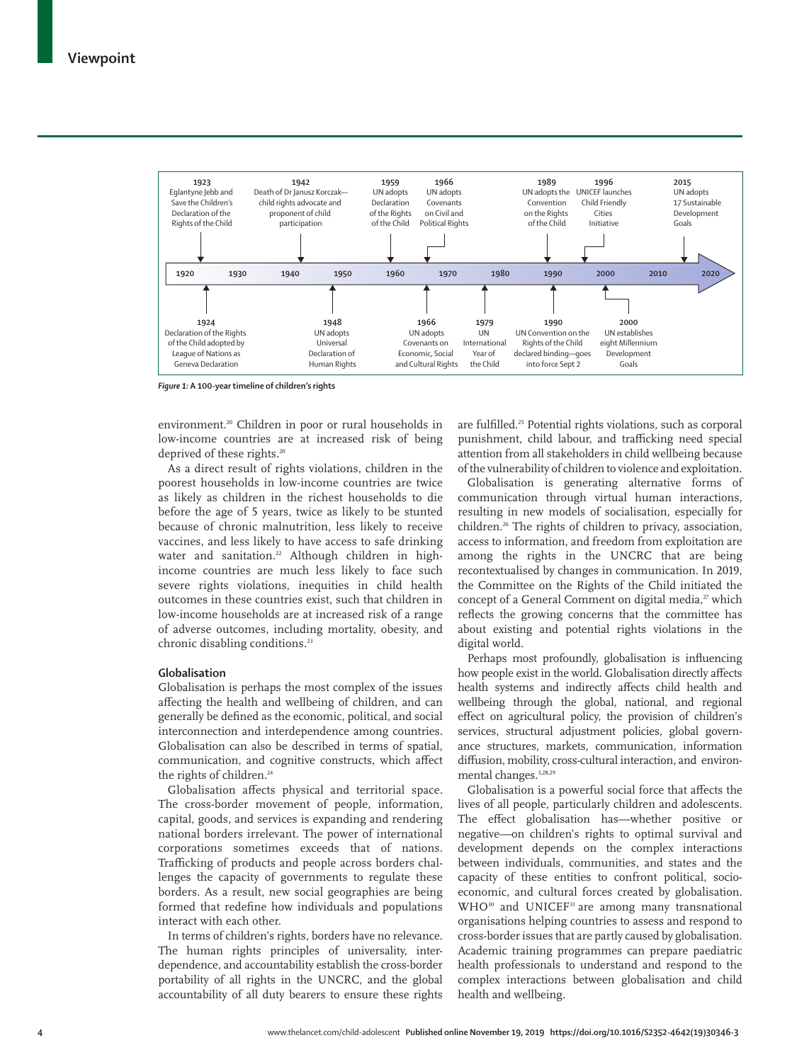

*Figure 1:* **A 100-year timeline of children's rights**

environment.<sup>20</sup> Children in poor or rural households in low-income countries are at increased risk of being deprived of these rights.<sup>20</sup>

As a direct result of rights violations, children in the poorest households in low-income countries are twice as likely as children in the richest households to die before the age of 5 years, twice as likely to be stunted because of chronic malnutrition, less likely to receive vaccines, and less likely to have access to safe drinking water and sanitation.<sup>22</sup> Although children in highincome countries are much less likely to face such severe rights violations, inequities in child health outcomes in these countries exist, such that children in low-income households are at increased risk of a range of adverse outcomes, including mortality, obesity, and chronic disabling conditions.<sup>23</sup>

#### **Globalisation**

Globalisation is perhaps the most complex of the issues affecting the health and wellbeing of children, and can generally be defined as the economic, political, and social interconnection and interdependence among countries. Globalisation can also be described in terms of spatial, communication, and cognitive constructs, which affect the rights of children.<sup>24</sup>

Globalisation affects physical and territorial space. The cross-border movement of people, information, capital, goods, and services is expanding and rendering national borders irrelevant. The power of international corporations sometimes exceeds that of nations. Trafficking of products and people across borders challenges the capacity of governments to regulate these borders. As a result, new social geographies are being formed that redefine how individuals and populations interact with each other.

In terms of children's rights, borders have no relevance. The human rights principles of universality, interdependence, and accountability establish the cross-border portability of all rights in the UNCRC, and the global accountability of all duty bearers to ensure these rights are fulfilled.25 Potential rights violations, such as corporal punishment, child labour, and trafficking need special attention from all stakeholders in child wellbeing because of the vulnerability of children to violence and exploitation.

Globalisation is generating alternative forms of communication through virtual human interactions, resulting in new models of socialisation, especially for children.26 The rights of children to privacy, association, access to information, and freedom from exploitation are among the rights in the UNCRC that are being recontextualised by changes in communication. In 2019, the Committee on the Rights of the Child initiated the concept of a General Comment on digital media,<sup>27</sup> which reflects the growing concerns that the committee has about existing and potential rights violations in the digital world.

Perhaps most profoundly, globalisation is influencing how people exist in the world. Globalisation directly affects health systems and indirectly affects child health and wellbeing through the global, national, and regional effect on agricultural policy, the provision of children's services, structural adjustment policies, global governance structures, markets, communication, information diffusion, mobility, cross-cultural interaction, and environmental changes.<sup>3,28,29</sup>

Globalisation is a powerful social force that affects the lives of all people, particularly children and adolescents. The effect globalisation has—whether positive or negative—on children's rights to optimal survival and development depends on the complex interactions between individuals, communities, and states and the capacity of these entities to confront political, socioeconomic, and cultural forces created by globalisation. WHO<sup>30</sup> and UNICEF<sup>31</sup> are among many transnational organisations helping countries to assess and respond to cross-border issues that are partly caused by globalisation. Academic training programmes can prepare paediatric health professionals to understand and respond to the complex interactions between globalisation and child health and wellbeing.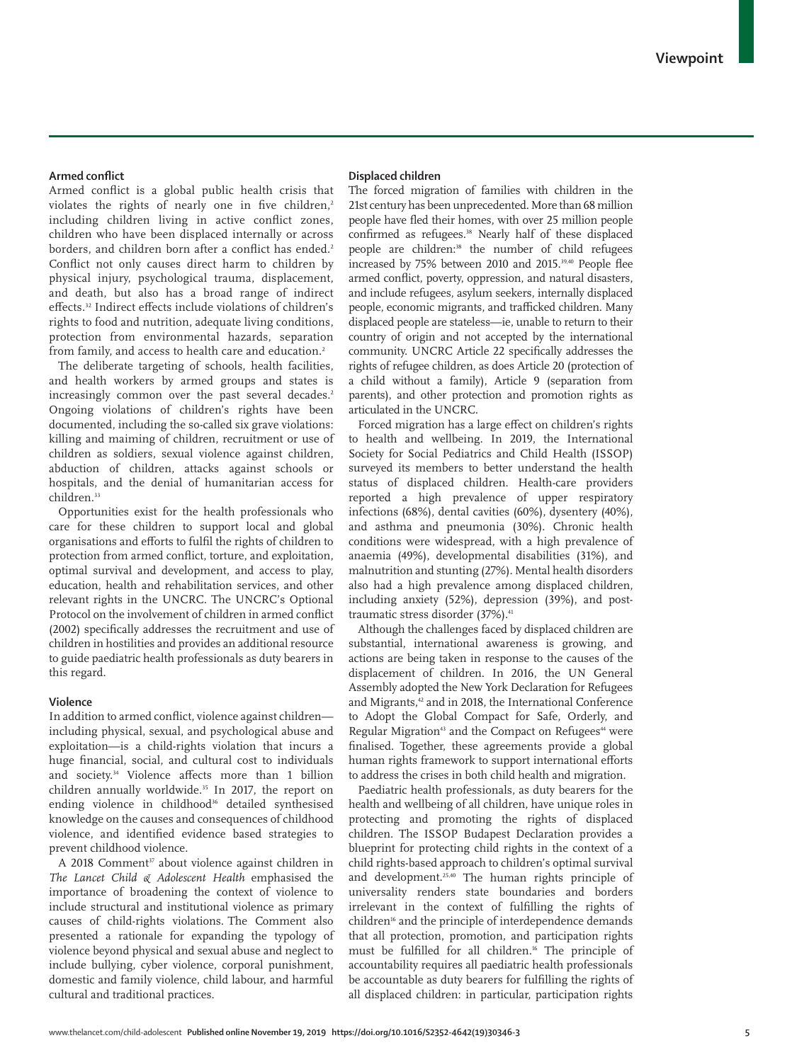# **Armed conflict**

Armed conflict is a global public health crisis that violates the rights of nearly one in five children,<sup>2</sup> including children living in active conflict zones, children who have been displaced internally or across borders, and children born after a conflict has ended.<sup>2</sup> Conflict not only causes direct harm to children by physical injury, psychological trauma, displacement, and death, but also has a broad range of indirect effects.32 Indirect effects include violations of children's rights to food and nutrition, adequate living conditions, protection from environmental hazards, separation from family, and access to health care and education.<sup>2</sup>

The deliberate targeting of schools, health facilities, and health workers by armed groups and states is increasingly common over the past several decades.<sup>2</sup> Ongoing violations of children's rights have been documented, including the so-called six grave violations: killing and maiming of children, recruitment or use of children as soldiers, sexual violence against children, abduction of children, attacks against schools or hospitals, and the denial of humanitarian access for children.33

Opportunities exist for the health professionals who care for these children to support local and global organisations and efforts to fulfil the rights of children to protection from armed conflict, torture, and exploitation, optimal survival and development, and access to play, education, health and rehabilitation services, and other relevant rights in the UNCRC. The UNCRC's Optional Protocol on the involvement of children in armed conflict (2002) specifically addresses the recruitment and use of children in hostilities and provides an additional resource to guide paediatric health professionals as duty bearers in this regard.

#### **Violence**

In addition to armed conflict, violence against children including physical, sexual, and psychological abuse and exploitation—is a child-rights violation that incurs a huge financial, social, and cultural cost to individuals and society.34 Violence affects more than 1 billion children annually worldwide.<sup>35</sup> In 2017, the report on ending violence in childhood<sup>36</sup> detailed synthesised knowledge on the causes and consequences of childhood violence, and identified evidence based strategies to prevent childhood violence.

A 2018 Comment<sup>37</sup> about violence against children in *The Lancet Child & Adolescent Health* emphasised the importance of broadening the context of violence to include structural and institutional violence as primary causes of child-rights violations. The Comment also presented a rationale for expanding the typology of violence beyond physical and sexual abuse and neglect to include bullying, cyber violence, corporal punishment, domestic and family violence, child labour, and harmful cultural and traditional practices.

#### **Displaced children**

The forced migration of families with children in the 21st century has been unprecedented. More than 68 million people have fled their homes, with over 25 million people confirmed as refugees.<sup>38</sup> Nearly half of these displaced people are children:<sup>38</sup> the number of child refugees increased by 75% between 2010 and 2015.39,40 People flee armed conflict, poverty, oppression, and natural disasters, and include refugees, asylum seekers, internally displaced people, economic migrants, and trafficked children. Many displaced people are stateless—ie, unable to return to their country of origin and not accepted by the international community. UNCRC Article 22 specifically addresses the rights of refugee children, as does Article 20 (protection of a child without a family), Article 9 (separation from parents), and other protection and promotion rights as articulated in the UNCRC.

Forced migration has a large effect on children's rights to health and wellbeing. In 2019, the International Society for Social Pediatrics and Child Health (ISSOP) surveyed its members to better understand the health status of displaced children. Health-care providers reported a high prevalence of upper respiratory infections (68%), dental cavities (60%), dysentery (40%), and asthma and pneumonia (30%). Chronic health conditions were widespread, with a high prevalence of anaemia (49%), developmental disabilities (31%), and malnutrition and stunting (27%). Mental health disorders also had a high prevalence among displaced children, including anxiety (52%), depression (39%), and posttraumatic stress disorder (37%).<sup>41</sup>

Although the challenges faced by displaced children are substantial, international awareness is growing, and actions are being taken in response to the causes of the displacement of children. In 2016, the UN General Assembly adopted the New York Declaration for Refugees and Migrants,<sup>42</sup> and in 2018, the International Conference to Adopt the Global Compact for Safe, Orderly, and Regular Migration<sup>43</sup> and the Compact on Refugees<sup>44</sup> were finalised. Together, these agreements provide a global human rights framework to support international efforts to address the crises in both child health and migration.

Paediatric health professionals, as duty bearers for the health and wellbeing of all children, have unique roles in protecting and promoting the rights of displaced children. The ISSOP Budapest Declaration provides a blueprint for protecting child rights in the context of a child rights-based approach to children's optimal survival and development.<sup>25,40</sup> The human rights principle of universality renders state boundaries and borders irrelevant in the context of fulfilling the rights of children<sup>16</sup> and the principle of interdependence demands that all protection, promotion, and participation rights must be fulfilled for all children.16 The principle of accountability requires all paediatric health professionals be accountable as duty bearers for fulfilling the rights of all displaced children: in particular, participation rights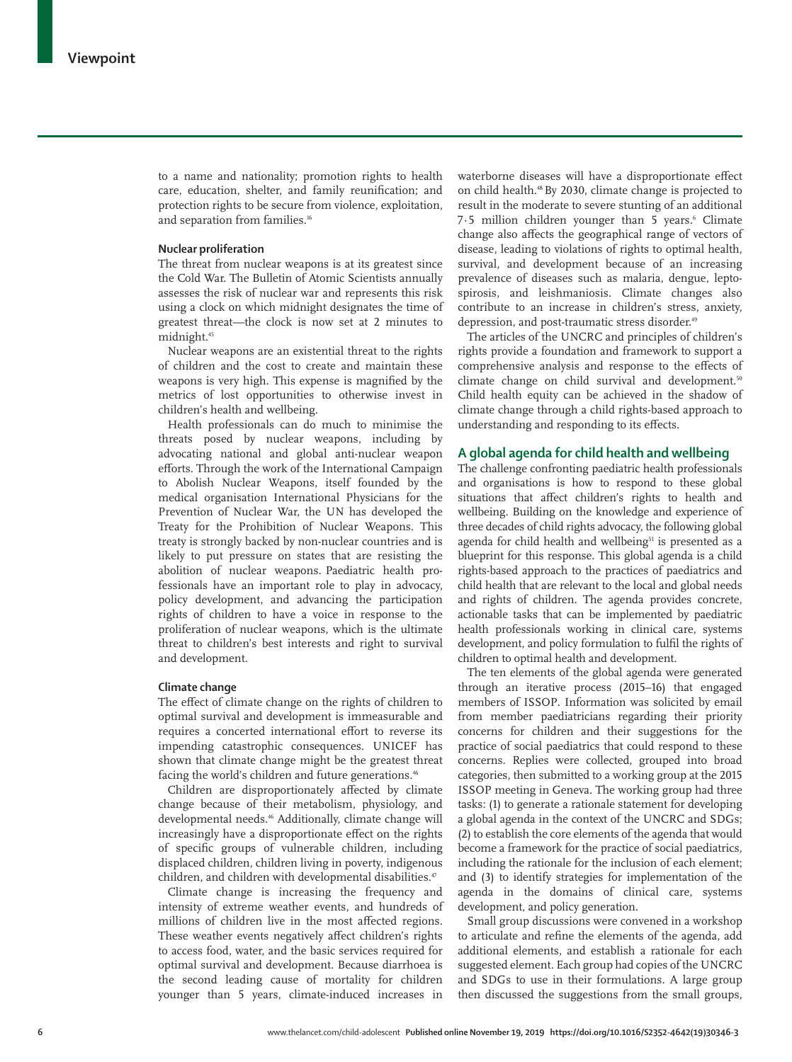to a name and nationality; promotion rights to health care, education, shelter, and family reunification; and protection rights to be secure from violence, exploitation, and separation from families.<sup>16</sup>

# **Nuclear proliferation**

The threat from nuclear weapons is at its greatest since the Cold War. The Bulletin of Atomic Scientists annually assesses the risk of nuclear war and represents this risk using a clock on which midnight designates the time of greatest threat—the clock is now set at 2 minutes to midnight.45

Nuclear weapons are an existential threat to the rights of children and the cost to create and maintain these weapons is very high. This expense is magnified by the metrics of lost opportunities to otherwise invest in children's health and wellbeing.

Health professionals can do much to minimise the threats posed by nuclear weapons, including by advocating national and global anti-nuclear weapon efforts. Through the work of the International Campaign to Abolish Nuclear Weapons, itself founded by the medical organisation International Physicians for the Prevention of Nuclear War, the UN has developed the Treaty for the Prohibition of Nuclear Weapons. This treaty is strongly backed by non-nuclear countries and is likely to put pressure on states that are resisting the abolition of nuclear weapons. Paediatric health professionals have an important role to play in advocacy, policy development, and advancing the participation rights of children to have a voice in response to the proliferation of nuclear weapons, which is the ultimate threat to children's best interests and right to survival and development.

#### **Climate change**

The effect of climate change on the rights of children to optimal survival and development is immeasurable and requires a concerted international effort to reverse its impending catastrophic consequences. UNICEF has shown that climate change might be the greatest threat facing the world's children and future generations.<sup>46</sup>

Children are disproportionately affected by climate change because of their metabolism, physiology, and developmental needs.<sup>46</sup> Additionally, climate change will increasingly have a disproportionate effect on the rights of specific groups of vulnerable children, including displaced children, children living in poverty, indigenous children, and children with developmental disabilities.<sup>47</sup>

Climate change is increasing the frequency and intensity of extreme weather events, and hundreds of millions of children live in the most affected regions. These weather events negatively affect children's rights to access food, water, and the basic services required for optimal survival and development. Because diarrhoea is the second leading cause of mortality for children younger than 5 years, climate-induced increases in waterborne diseases will have a disproportionate effect on child health.48 By 2030, climate change is projected to result in the moderate to severe stunting of an additional 7·5 million children younger than 5 years.6 Climate change also affects the geographical range of vectors of disease, leading to violations of rights to optimal health, survival, and development because of an increasing prevalence of diseases such as malaria, dengue, leptospirosis, and leishmaniosis. Climate changes also contribute to an increase in children's stress, anxiety, depression, and post-traumatic stress disorder.<sup>49</sup>

The articles of the UNCRC and principles of children's rights provide a foundation and framework to support a comprehensive analysis and response to the effects of climate change on child survival and development.<sup>50</sup> Child health equity can be achieved in the shadow of climate change through a child rights-based approach to understanding and responding to its effects.

# **A global agenda for child health and wellbeing**

The challenge confronting paediatric health professionals and organisations is how to respond to these global situations that affect children's rights to health and wellbeing. Building on the knowledge and experience of three decades of child rights advocacy, the following global agenda for child health and wellbeing<sup>51</sup> is presented as a blueprint for this response. This global agenda is a child rights-based approach to the practices of paediatrics and child health that are relevant to the local and global needs and rights of children. The agenda provides concrete, actionable tasks that can be implemented by paediatric health professionals working in clinical care, systems development, and policy formulation to fulfil the rights of children to optimal health and development.

The ten elements of the global agenda were generated through an iterative process (2015–16) that engaged members of ISSOP. Information was solicited by email from member paediatricians regarding their priority concerns for children and their suggestions for the practice of social paediatrics that could respond to these concerns. Replies were collected, grouped into broad categories, then submitted to a working group at the 2015 ISSOP meeting in Geneva. The working group had three tasks: (1) to generate a rationale statement for developing a global agenda in the context of the UNCRC and SDGs; (2) to establish the core elements of the agenda that would become a framework for the practice of social paediatrics, including the rationale for the inclusion of each element; and (3) to identify strategies for implementation of the agenda in the domains of clinical care, systems development, and policy generation.

Small group discussions were convened in a workshop to articulate and refine the elements of the agenda, add additional elements, and establish a rationale for each suggested element. Each group had copies of the UNCRC and SDGs to use in their formulations. A large group then discussed the suggestions from the small groups,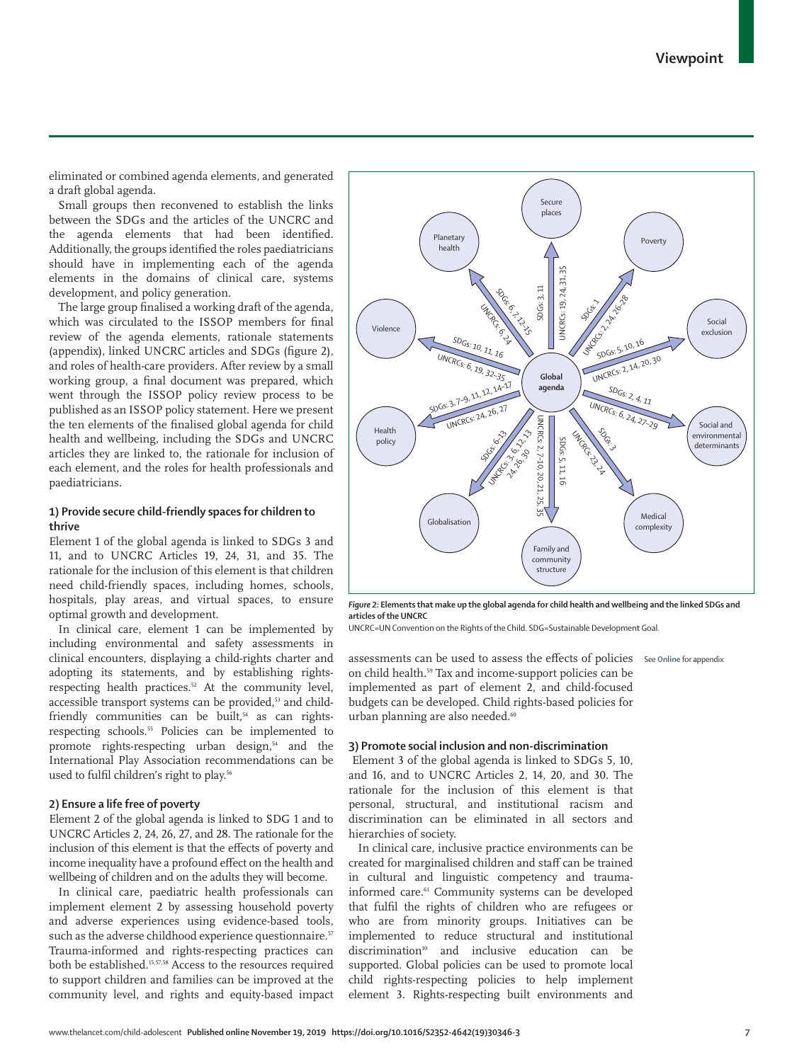eliminated or combined agenda elements, and generated a draft global agenda.

Small groups then reconvened to establish the links between the SDGs and the articles of the UNCRC and the agenda elements that had been identified. Additionally, the groups identified the roles paediatricians should have in implementing each of the agenda elements in the domains of clinical care, systems development, and policy generation.

The large group finalised a working draft of the agenda, which was circulated to the ISSOP members for final review of the agenda elements, rationale statements (appendix), linked UNCRC articles and SDGs (figure 2), and roles of health-care providers. After review by a small working group, a final document was prepared, which went through the ISSOP policy review process to be published as an ISSOP policy statement. Here we present the ten elements of the finalised global agenda for child health and wellbeing, including the SDGs and UNCRC articles they are linked to, the rationale for inclusion of each element, and the roles for health professionals and paediatricians.

#### **1) Provide secure child-friendly spaces for children to thrive**

Element 1 of the global agenda is linked to SDGs 3 and 11, and to UNCRC Articles 19, 24, 31, and 35. The rationale for the inclusion of this element is that children need child-friendly spaces, including homes, schools, hospitals, play areas, and virtual spaces, to ensure optimal growth and development.

In clinical care, element 1 can be implemented by including environmental and safety assessments in clinical encounters, displaying a child-rights charter and adopting its statements, and by establishing rightsrespecting health practices.<sup>52</sup> At the community level, accessible transport systems can be provided,<sup>53</sup> and childfriendly communities can be built,<sup>54</sup> as can rightsrespecting schools.55 Policies can be implemented to promote rights-respecting urban design,<sup>54</sup> and the International Play Association recommendations can be used to fulfil children's right to play.<sup>56</sup>

#### **2) Ensure a life free of poverty**

Element 2 of the global agenda is linked to SDG 1 and to UNCRC Articles 2, 24, 26, 27, and 28. The rationale for the inclusion of this element is that the effects of poverty and income inequality have a profound effect on the health and wellbeing of children and on the adults they will become.

In clinical care, paediatric health professionals can implement element 2 by assessing household poverty and adverse experiences using evidence-based tools, such as the adverse childhood experience questionnaire.<sup>57</sup> Trauma-informed and rights-respecting practices can both be established.15,57,58 Access to the resources required to support children and families can be improved at the community level, and rights and equity-based impact



*Figure 2:* **Elements that make up the global agenda for child health and wellbeing and the linked SDGs and articles of the UNCRC**

UNCRC=UN Convention on the Rights of the Child. SDG=Sustainable Development Goal.

assessments can be used to assess the effects of policies See **Online** for appendix on child health.59 Tax and income-support policies can be implemented as part of element 2, and child-focused budgets can be developed. Child rights-based policies for urban planning are also needed.<sup>60</sup>

#### **3) Promote social inclusion and non-discrimination**

 Element 3 of the global agenda is linked to SDGs 5, 10, and 16, and to UNCRC Articles 2, 14, 20, and 30. The rationale for the inclusion of this element is that personal, structural, and institutional racism and discrimination can be eliminated in all sectors and hierarchies of society.

In clinical care, inclusive practice environments can be created for marginalised children and staff can be trained in cultural and linguistic competency and traumainformed care.<sup>61</sup> Community systems can be developed that fulfil the rights of children who are refugees or who are from minority groups. Initiatives can be implemented to reduce structural and institutional discrimination<sup>10</sup> and inclusive education can be supported. Global policies can be used to promote local child rights-respecting policies to help implement element 3. Rights-respecting built environments and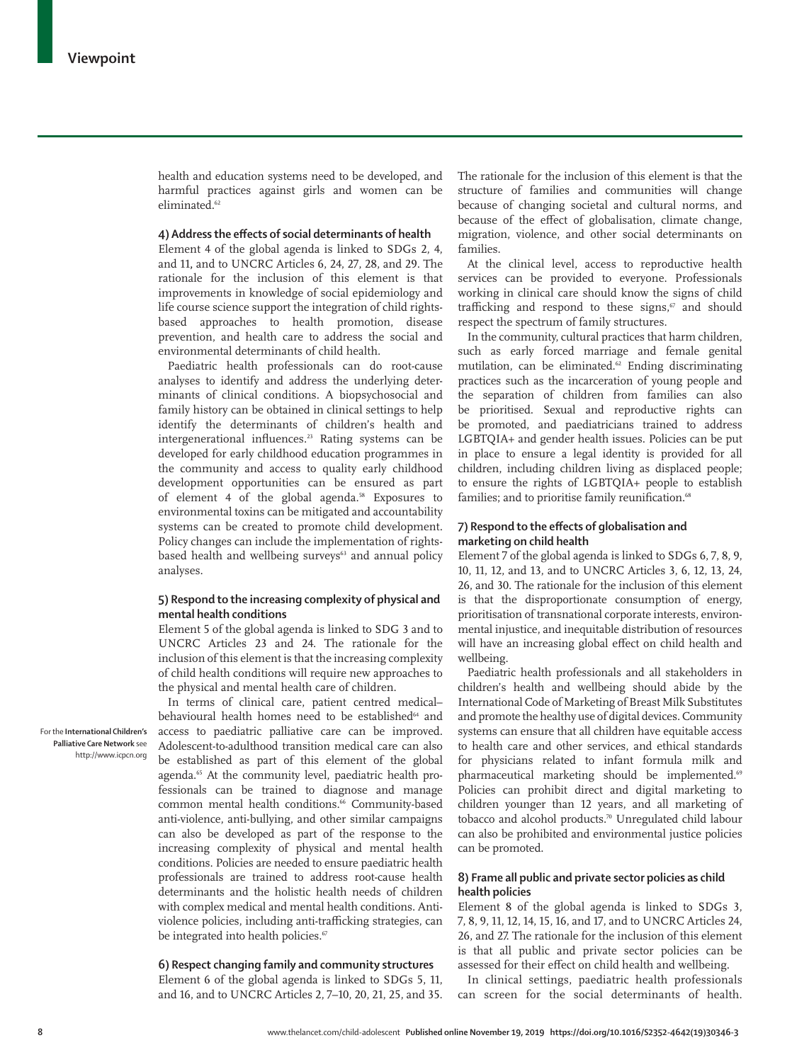health and education systems need to be developed, and harmful practices against girls and women can be eliminated.<sup>62</sup>

### **4) Address the effects of social determinants of health**

Element 4 of the global agenda is linked to SDGs 2, 4, and 11**,** and to UNCRC Articles 6, 24, 27, 28, and 29. The rationale for the inclusion of this element is that improvements in knowledge of social epidemiology and life course science support the integration of child rightsbased approaches to health promotion, disease prevention, and health care to address the social and environmental determinants of child health.

Paediatric health professionals can do root-cause analyses to identify and address the underlying determinants of clinical conditions. A biopsychosocial and family history can be obtained in clinical settings to help identify the determinants of children's health and intergenerational influences.<sup>23</sup> Rating systems can be developed for early childhood education programmes in the community and access to quality early childhood development opportunities can be ensured as part of element 4 of the global agenda.<sup>58</sup> Exposures to environmental toxins can be mitigated and accountability systems can be created to promote child development. Policy changes can include the implementation of rightsbased health and wellbeing surveys<sup>63</sup> and annual policy analyses.

### **5) Respond to the increasing complexity of physical and mental health conditions**

Element 5 of the global agenda is linked to SDG 3 and to UNCRC Articles 23 and 24. The rationale for the inclusion of this element is that the increasing complexity of child health conditions will require new approaches to the physical and mental health care of children.

In terms of clinical care, patient centred medical– behavioural health homes need to be established<sup>64</sup> and access to [paediatric palliative care](http://www.icpcn.org) can be improved. Adolescent-to-adulthood transition medical care can also be established as part of this element of the global agenda.<sup>65</sup> At the community level, paediatric health professionals can be trained to diagnose and manage common mental health conditions.<sup>66</sup> Community-based anti-violence, anti-bullying, and other similar campaigns can also be developed as part of the response to the increasing complexity of physical and mental health conditions. Policies are needed to ensure paediatric health professionals are trained to address root-cause health determinants and the holistic health needs of children with complex medical and mental health conditions. Antiviolence policies, including anti-trafficking strategies, can be integrated into health policies.<sup>67</sup>

#### **6) Respect changing family and community structures** Element 6 of the global agenda is linked to SDGs 5, 11, and 16, and to UNCRC Articles 2, 7–10, 20, 21, 25, and 35.

The rationale for the inclusion of this element is that the structure of families and communities will change because of changing societal and cultural norms, and because of the effect of globalisation, climate change, migration, violence, and other social determinants on families.

At the clinical level, access to reproductive health services can be provided to everyone. Professionals working in clinical care should know the signs of child trafficking and respond to these signs, $67$  and should respect the spectrum of family structures.

In the community, cultural practices that harm children, such as early forced marriage and female genital mutilation, can be eliminated. $62$  Ending discriminating practices such as the incarceration of young people and the separation of children from families can also be prioritised. Sexual and reproductive rights can be promoted, and paediatricians trained to address LGBTQIA+ and gender health issues. Policies can be put in place to ensure a legal identity is provided for all children, including children living as displaced people; to ensure the rights of LGBTQIA+ people to establish families; and to prioritise family reunification.<sup>68</sup>

#### **7) Respond to the effects of globalisation and marketing on child health**

Element 7 of the global agenda is linked to SDGs 6, 7, 8, 9, 10, 11, 12, and 13, and to UNCRC Articles 3, 6, 12, 13, 24, 26, and 30. The rationale for the inclusion of this element is that the disproportionate consumption of energy, prioritisation of transnational corporate interests, environmental injustice, and inequitable distribution of resources will have an increasing global effect on child health and wellbeing.

Paediatric health professionals and all stakeholders in children's health and wellbeing should abide by the International Code of Marketing of Breast Milk Substitutes and promote the healthy use of digital devices. Community systems can ensure that all children have equitable access to health care and other services, and ethical standards for physicians related to infant formula milk and pharmaceutical marketing should be implemented.<sup>69</sup> Policies can prohibit direct and digital marketing to children younger than 12 years, and all marketing of tobacco and alcohol products.<sup>70</sup> Unregulated child labour can also be prohibited and environmental justice policies can be promoted.

# **8) Frame all public and private sector policies as child health policies**

Element 8 of the global agenda is linked to SDGs 3, 7, 8, 9, 11, 12, 14, 15, 16, and 17, and to UNCRC Articles 24, 26, and 27. The rationale for the inclusion of this element is that all public and private sector policies can be assessed for their effect on child health and wellbeing.

In clinical settings, paediatric health professionals can screen for the social determinants of health.

For the **International Children's Palliative Care Network** see <http://www.icpcn.org>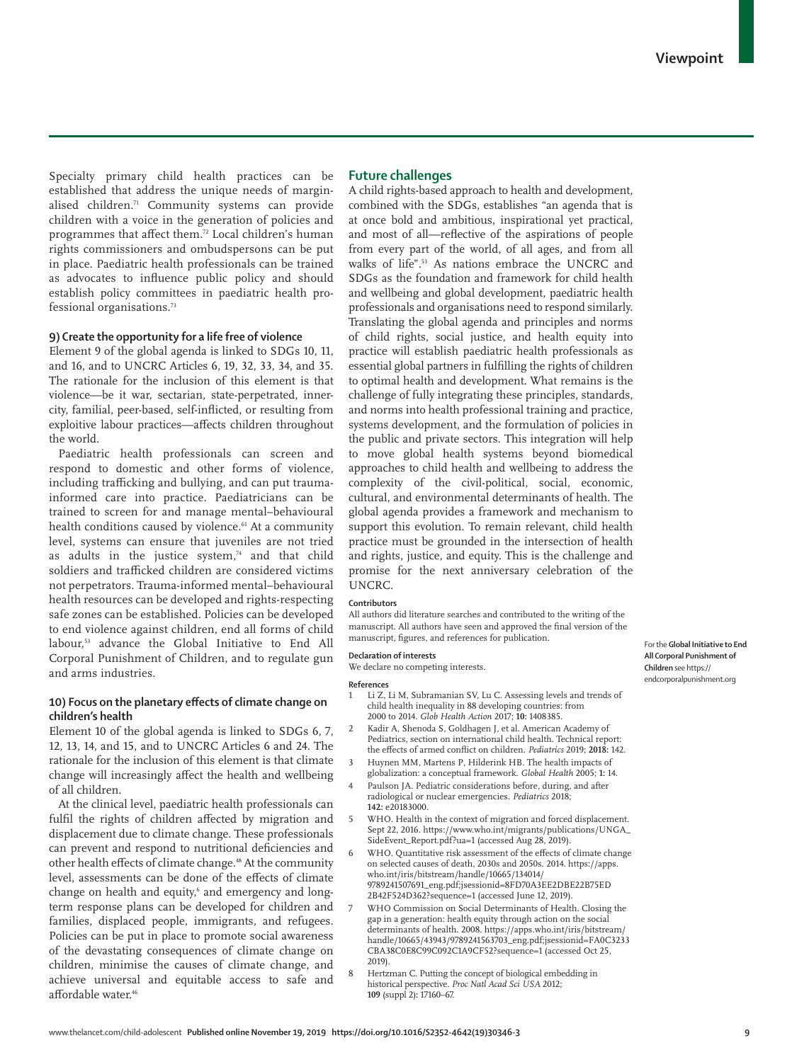Specialty primary child health practices can be established that address the unique needs of marginalised children.71 Community systems can provide children with a voice in the generation of policies and programmes that affect them.<sup>72</sup> Local children's human rights commissioners and ombudspersons can be put in place. Paediatric health professionals can be trained as advocates to influence public policy and should establish policy committees in paediatric health professional organisations.73

#### **9) Create the opportunity for a life free of violence**

Element 9 of the global agenda is linked to SDGs 10, 11, and 16, and to UNCRC Articles 6, 19, 32, 33, 34, and 35. The rationale for the inclusion of this element is that violence—be it war, sectarian, state-perpetrated, innercity, familial, peer-based, self-inflicted, or resulting from exploitive labour practices—affects children throughout the world.

Paediatric health professionals can screen and respond to domestic and other forms of violence, including trafficking and bullying, and can put traumainformed care into practice. Paediatricians can be trained to screen for and manage mental–behavioural health conditions caused by violence.<sup>61</sup> At a community level, systems can ensure that juveniles are not tried as adults in the justice system, $74$  and that child soldiers and trafficked children are considered victims not perpetrators. Trauma-informed mental–behavioural health resources can be developed and rights-respecting safe zones can be established. Policies can be developed to end violence against children, end all forms of child labour,53 advance [the Global Initiative to End All](https://endcorporalpunishment.org)  [Corporal Punishment of Children](https://endcorporalpunishment.org), and to regulate gun and arms industries.

#### **10) Focus on the planetary effects of climate change on children's health**

Element 10 of the global agenda is linked to SDGs 6, 7, 12, 13, 14, and 15, and to UNCRC Articles 6 and 24. The rationale for the inclusion of this element is that climate change will increasingly affect the health and wellbeing of all children.

At the clinical level, paediatric health professionals can fulfil the rights of children affected by migration and displacement due to climate change. These professionals can prevent and respond to nutritional deficiencies and other health effects of climate change.<sup>48</sup> At the community level, assessments can be done of the effects of climate change on health and equity,<sup>6</sup> and emergency and longterm response plans can be developed for children and families, displaced people, immigrants, and refugees. Policies can be put in place to promote social awareness of the devastating consequences of climate change on children, minimise the causes of climate change, and achieve universal and equitable access to safe and affordable water.46

# **Future challenges**

A child rights-based approach to health and development, combined with the SDGs, establishes "an agenda that is at once bold and ambitious, inspirational yet practical, and most of all—reflective of the aspirations of people from every part of the world, of all ages, and from all walks of life".53 As nations embrace the UNCRC and SDGs as the foundation and framework for child health and wellbeing and global development, paediatric health professionals and organisations need to respond similarly. Translating the global agenda and principles and norms of child rights, social justice, and health equity into practice will establish paediatric health professionals as essential global partners in fulfilling the rights of children to optimal health and development. What remains is the challenge of fully integrating these principles, standards, and norms into health professional training and practice, systems development, and the formulation of policies in the public and private sectors. This integration will help to move global health systems beyond biomedical approaches to child health and wellbeing to address the complexity of the civil-political, social, economic, cultural, and environmental determinants of health. The global agenda provides a framework and mechanism to support this evolution. To remain relevant, child health practice must be grounded in the intersection of health and rights, justice, and equity. This is the challenge and promise for the next anniversary celebration of the UNCRC.

#### **Contributors**

All authors did literature searches and contributed to the writing of the manuscript. All authors have seen and approved the final version of the manuscript, figures, and references for publication.

#### **Declaration of interests**

We declare no competing interests.

#### **References**

- Li Z, Li M, Subramanian SV, Lu C. Assessing levels and trends of child health inequality in 88 developing countries: from 2000 to 2014. *Glob Health Action* 2017; **10:** 1408385.
- 2 Kadir A, Shenoda S, Goldhagen J, et al. American Academy of Pediatrics, section on international child health. Technical report: the effects of armed conflict on children. *Pediatrics* 2019; **2018:** 142.
- 3 Huynen MM, Martens P, Hilderink HB. The health impacts of globalization: a conceptual framework. *Global Health* 2005; **1:** 14.
- Paulson JA. Pediatric considerations before, during, and after radiological or nuclear emergencies. *Pediatrics* 2018; **142:** e20183000.
- 5 WHO. Health in the context of migration and forced displacement. Sept 22, 2016. https://www.who.int/migrants/publications/UNGA\_ SideEvent\_Report.pdf?ua=1 (accessed Aug 28, 2019).
- WHO. Quantitative risk assessment of the effects of climate change on selected causes of death, 2030s and 2050s. 2014. https://apps. who.int/iris/bitstream/handle/10665/134014/ 9789241507691\_eng.pdf;jsessionid=8FD70A3EE2DBE22B75ED 2B42F524D362?sequence=1 (accessed June 12, 2019).
- 7 WHO Commission on Social Determinants of Health. Closing the gap in a generation: health equity through action on the social determinants of health. 2008. https://apps.who.int/iris/bitstream/ handle/10665/43943/9789241563703\_eng.pdf;jsessionid=FA0C3233 CBA38C0E8C99C092C1A9CF52?sequence=1 (accessed Oct 25, 2019).
- Hertzman C. Putting the concept of biological embedding in historical perspective. *Proc Natl Acad Sci USA* 2012; **109** (suppl 2)**:** 17160–67.

For the **Global Initiative to End All Corporal Punishment of Children** see [https://](https://endcorporalpunishment.org) [endcorporalpunishment.org](https://endcorporalpunishment.org)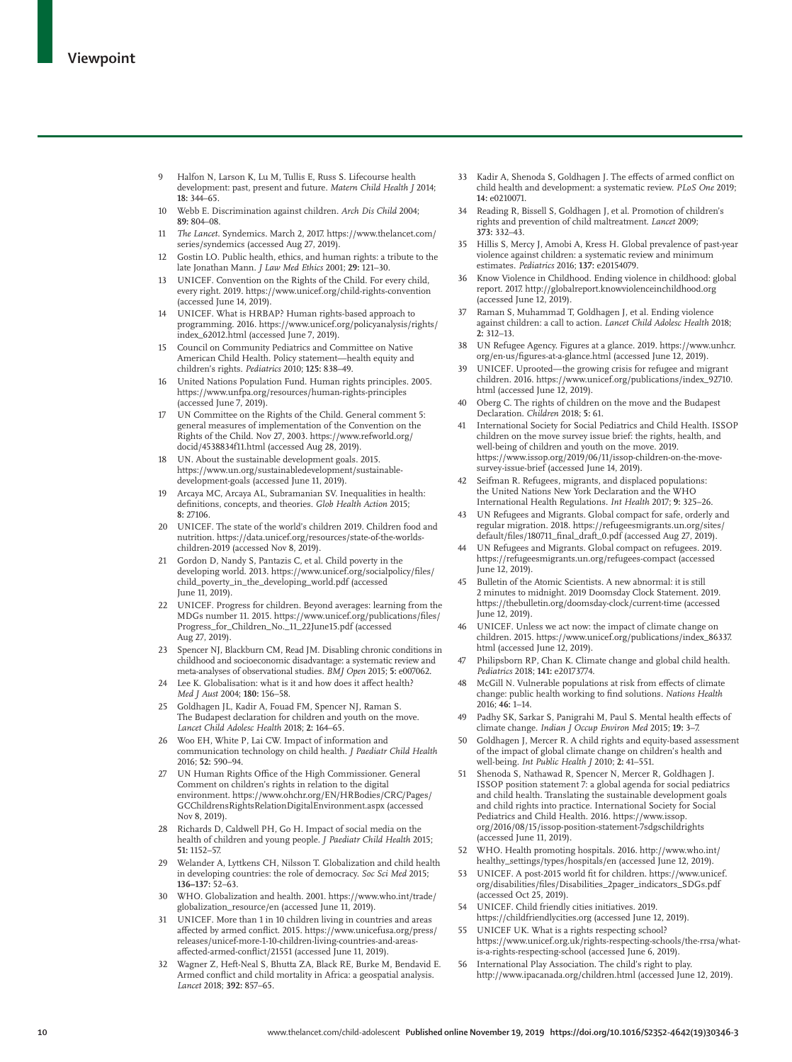- 9 Halfon N, Larson K, Lu M, Tullis E, Russ S. Lifecourse health development: past, present and future. *Matern Child Health J* 2014; **18:** 344–65.
- 10 Webb E. Discrimination against children. *Arch Dis Child* 2004; **89:** 804–08.
- 11 *The Lancet.* Syndemics. March 2, 2017. https://www.thelancet.com/ series/syndemics (accessed Aug 27, 2019).
- 12 Gostin LO. Public health, ethics, and human rights: a tribute to the late Jonathan Mann. *J Law Med Ethics* 2001; **29:** 121–30.
- 13 UNICEF. Convention on the Rights of the Child. For every child, every right. 2019. https://www.unicef.org/child-rights-convention (accessed June 14, 2019).
- 14 UNICEF. What is HRBAP? Human rights-based approach to programming. 2016. https://www.unicef.org/policyanalysis/rights/ index\_62012.html (accessed June 7, 2019).
- 15 Council on Community Pediatrics and Committee on Native American Child Health. Policy statement—health equity and children's rights. *Pediatrics* 2010; **125:** 838–49.
- 16 United Nations Population Fund. Human rights principles. 2005. https://www.unfpa.org/resources/human-rights-principles (accessed June 7, 2019).
- 17 UN Committee on the Rights of the Child. General comment 5: general measures of implementation of the Convention on the Rights of the Child. Nov 27, 2003. https://www.refworld.org/ docid/4538834f11.html (accessed Aug 28, 2019).
- UN. About the sustainable development goals. 2015. https://www.un.org/sustainabledevelopment/sustainabledevelopment-goals (accessed June 11, 2019).
- 19 Arcaya MC, Arcaya AL, Subramanian SV. Inequalities in health: definitions, concepts, and theories. *Glob Health Action* 2015; **8:** 27106.
- 20 UNICEF. The state of the world's children 2019. Children food and nutrition. https://data.unicef.org/resources/state-of-the-worldschildren-2019 (accessed Nov 8, 2019).
- 21 Gordon D, Nandy S, Pantazis C, et al. Child poverty in the developing world. 2013. https://www.unicef.org/socialpolicy/files/ child\_poverty\_in\_the\_developing\_world.pdf (accessed June 11, 2019).
- UNICEF. Progress for children. Beyond averages: learning from the MDGs number 11. 2015. https://www.unicef.org/publications/files/ Progress\_for\_Children\_No.\_11\_22June15.pdf (accessed Aug 27, 2019).
- 23 Spencer NJ, Blackburn CM, Read JM. Disabling chronic conditions in childhood and socioeconomic disadvantage: a systematic review and meta-analyses of observational studies. *BMJ Open* 2015; **5:** e007062.
- 24 Lee K. Globalisation: what is it and how does it affect health? *Med J Aust* 2004; **180:** 156–58.
- 25 Goldhagen JL, Kadir A, Fouad FM, Spencer NJ, Raman S. The Budapest declaration for children and youth on the move. *Lancet Child Adolesc Health* 2018; **2:** 164–65.
- 26 Woo EH, White P, Lai CW. Impact of information and communication technology on child health. *J Paediatr Child Health* 2016; **52:** 590–94.
- 27 UN Human Rights Office of the High Commissioner. General Comment on children's rights in relation to the digital environment. https://www.ohchr.org/EN/HRBodies/CRC/Pages/ GCChildrensRightsRelationDigitalEnvironment.aspx (accessed Nov 8, 2019).
- 28 Richards D, Caldwell PH, Go H. Impact of social media on the health of children and young people. *J Paediatr Child Health* 2015; **51:** 1152–57.
- 29 Welander A, Lyttkens CH, Nilsson T. Globalization and child health in developing countries: the role of democracy. *Soc Sci Med* 2015; **136–137:** 52–63.
- 30 WHO. Globalization and health. 2001. https://www.who.int/trade/ globalization\_resource/en (accessed June 11, 2019).
- 31 UNICEF. More than 1 in 10 children living in countries and areas affected by armed conflict. 2015. https://www.unicefusa.org/press/ releases/unicef-more-1-10-children-living-countries-and-areasaffected-armed-conflict/21551 (accessed June 11, 2019).
- 32 Wagner Z, Heft-Neal S, Bhutta ZA, Black RE, Burke M, Bendavid E. Armed conflict and child mortality in Africa: a geospatial analysis. *Lancet* 2018; **392:** 857–65.
- 33 Kadir A, Shenoda S, Goldhagen J. The effects of armed conflict on child health and development: a systematic review. *PLoS One* 2019; **14:** e0210071.
- Reading R, Bissell S, Goldhagen J, et al. Promotion of children's rights and prevention of child maltreatment. *Lancet* 2009; **373:** 332–43.
- 35 Hillis S, Mercy J, Amobi A, Kress H. Global prevalence of past-year violence against children: a systematic review and minimum estimates. *Pediatrics* 2016; **137:** e20154079.
- 36 Know Violence in Childhood. Ending violence in childhood: global report. 2017. http://globalreport.knowviolenceinchildhood.org (accessed June 12, 2019).
- Raman S, Muhammad T, Goldhagen J, et al. Ending violence against children: a call to action. *Lancet Child Adolesc Health* 2018; **2:** 312–13.
- 38 UN Refugee Agency. Figures at a glance. 2019. https://www.unhcr. org/en-us/figures-at-a-glance.html (accessed June 12, 2019).
- UNICEF. Uprooted—the growing crisis for refugee and migrant children. 2016. https://www.unicef.org/publications/index\_92710. html (accessed June 12, 2019).
- 40 Oberg C. The rights of children on the move and the Budapest Declaration. *Children* 2018; **5:** 61.
- 41 International Society for Social Pediatrics and Child Health. ISSOP children on the move survey issue brief: the rights, health, and well-being of children and youth on the move. 2019. https://www.issop.org/2019/06/11/issop-children-on-the-movesurvey-issue-brief (accessed June 14, 2019).
- Seifman R. Refugees, migrants, and displaced populations: the United Nations New York Declaration and the WHO International Health Regulations. *Int Health* 2017; **9:** 325–26.
- 43 UN Refugees and Migrants. Global compact for safe, orderly and regular migration. 2018. https://refugeesmigrants.un.org/sites/ default/files/180711\_final\_draft\_0.pdf (accessed Aug 27, 2019).
- 44 UN Refugees and Migrants. Global compact on refugees. 2019. https://refugeesmigrants.un.org/refugees-compact (accessed June 12, 2019).
- 45 Bulletin of the Atomic Scientists. A new abnormal: it is still 2 minutes to midnight. 2019 Doomsday Clock Statement. 2019. https://thebulletin.org/doomsday-clock/current-time (accessed June 12, 2019).
	- UNICEF. Unless we act now: the impact of climate change on children. 2015. https://www.unicef.org/publications/index\_86337. html (accessed June 12, 2019).
- 47 Philipsborn RP, Chan K. Climate change and global child health. *Pediatrics* 2018; **141:** e20173774.
- McGill N. Vulnerable populations at risk from effects of climate change: public health working to find solutions. *Nations Health* 2016; **46:** 1–14.
- 49 Padhy SK, Sarkar S, Panigrahi M, Paul S. Mental health effects of climate change. *Indian J Occup Environ Med* 2015; **19:** 3–7.
- 50 Goldhagen J, Mercer R. A child rights and equity-based assessment of the impact of global climate change on children's health and well-being. *Int Public Health J* 2010; **2:** 41–551.
- 51 Shenoda S, Nathawad R, Spencer N, Mercer R, Goldhagen J. ISSOP position statement 7: a global agenda for social pediatrics and child health. Translating the sustainable development goals and child rights into practice. International Society for Social Pediatrics and Child Health. 2016. https://www.issop. org/2016/08/15/issop-position-statement-7sdgschildrights (accessed June 11, 2019).
- 52 WHO. Health promoting hospitals. 2016. http://www.who.int/ healthy\_settings/types/hospitals/en (accessed June 12, 2019).
- 53 UNICEF. A post-2015 world fit for children. https://www.unicef. org/disabilities/files/Disabilities\_2pager\_indicators\_SDGs.pdf (accessed Oct 25, 2019).
- 54 UNICEF. Child friendly cities initiatives. 2019. https://childfriendlycities.org (accessed June 12, 2019).
- 55 UNICEF UK. What is a rights respecting school? https://www.unicef.org.uk/rights-respecting-schools/the-rrsa/whatis-a-rights-respecting-school (accessed June 6, 2019).
- 56 International Play Association. The child's right to play. http://www.ipacanada.org/children.html (accessed June 12, 2019).